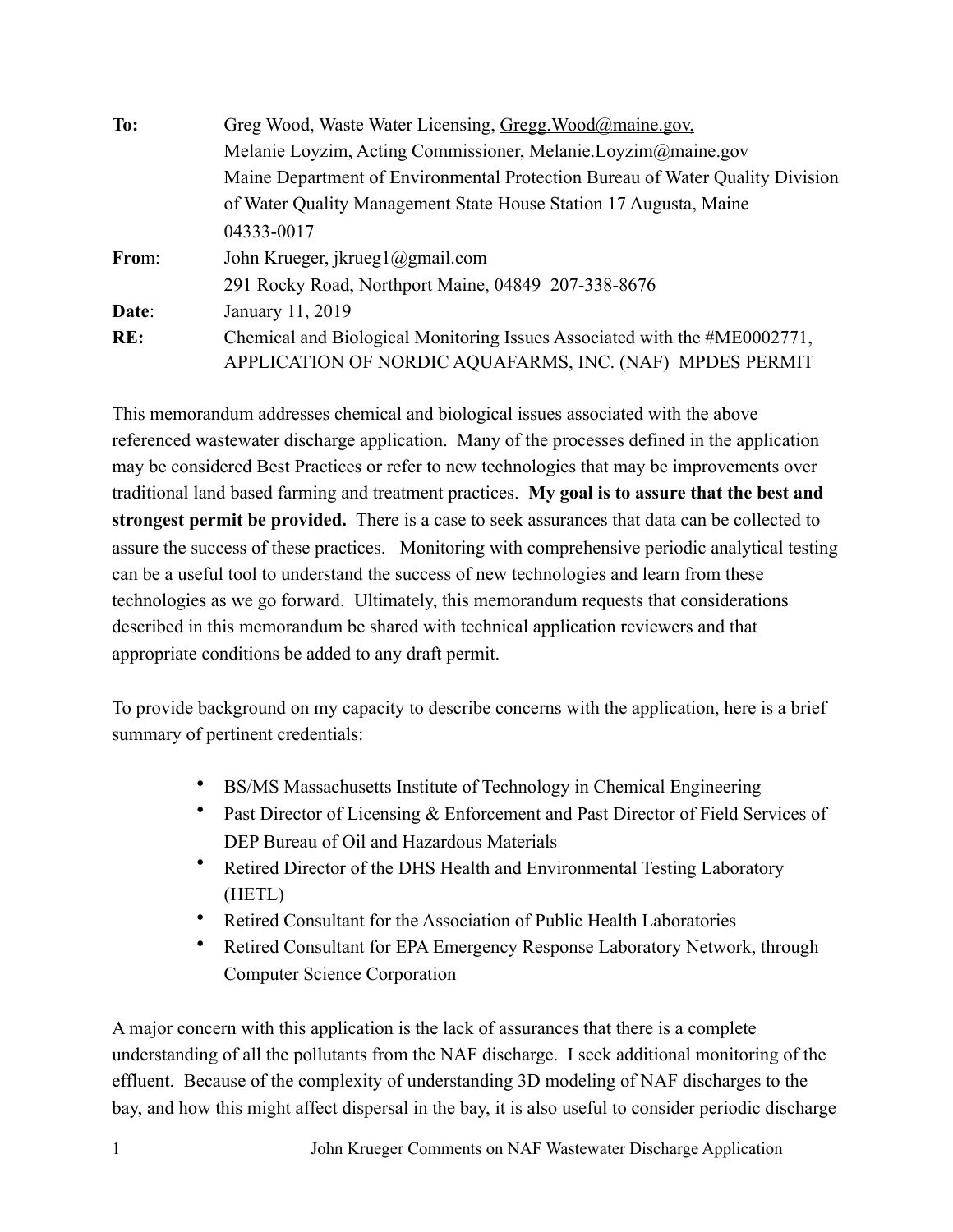| To:   | Greg Wood, Waste Water Licensing, Gregg Wood@maine.gov,                       |
|-------|-------------------------------------------------------------------------------|
|       | Melanie Loyzim, Acting Commissioner, Melanie.Loyzim@maine.gov                 |
|       | Maine Department of Environmental Protection Bureau of Water Quality Division |
|       | of Water Quality Management State House Station 17 Augusta, Maine             |
|       | 04333-0017                                                                    |
| From: | John Krueger, jkrueg $1$ ( $\partial$ gmail.com                               |
|       | 291 Rocky Road, Northport Maine, 04849 207-338-8676                           |
| Date: | January 11, 2019                                                              |
| RE:   | Chemical and Biological Monitoring Issues Associated with the #ME0002771,     |
|       | APPLICATION OF NORDIC AQUAFARMS, INC. (NAF) MPDES PERMIT                      |

This memorandum addresses chemical and biological issues associated with the above referenced wastewater discharge application. Many of the processes defined in the application may be considered Best Practices or refer to new technologies that may be improvements over traditional land based farming and treatment practices. **My goal is to assure that the best and strongest permit be provided.** There is a case to seek assurances that data can be collected to assure the success of these practices. Monitoring with comprehensive periodic analytical testing can be a useful tool to understand the success of new technologies and learn from these technologies as we go forward. Ultimately, this memorandum requests that considerations described in this memorandum be shared with technical application reviewers and that appropriate conditions be added to any draft permit.

To provide background on my capacity to describe concerns with the application, here is a brief summary of pertinent credentials:

- BS/MS Massachusetts Institute of Technology in Chemical Engineering
- Past Director of Licensing & Enforcement and Past Director of Field Services of DEP Bureau of Oil and Hazardous Materials
- Retired Director of the DHS Health and Environmental Testing Laboratory (HETL)
- Retired Consultant for the Association of Public Health Laboratories
- Retired Consultant for EPA Emergency Response Laboratory Network, through Computer Science Corporation

A major concern with this application is the lack of assurances that there is a complete understanding of all the pollutants from the NAF discharge. I seek additional monitoring of the effluent. Because of the complexity of understanding 3D modeling of NAF discharges to the bay, and how this might affect dispersal in the bay, it is also useful to consider periodic discharge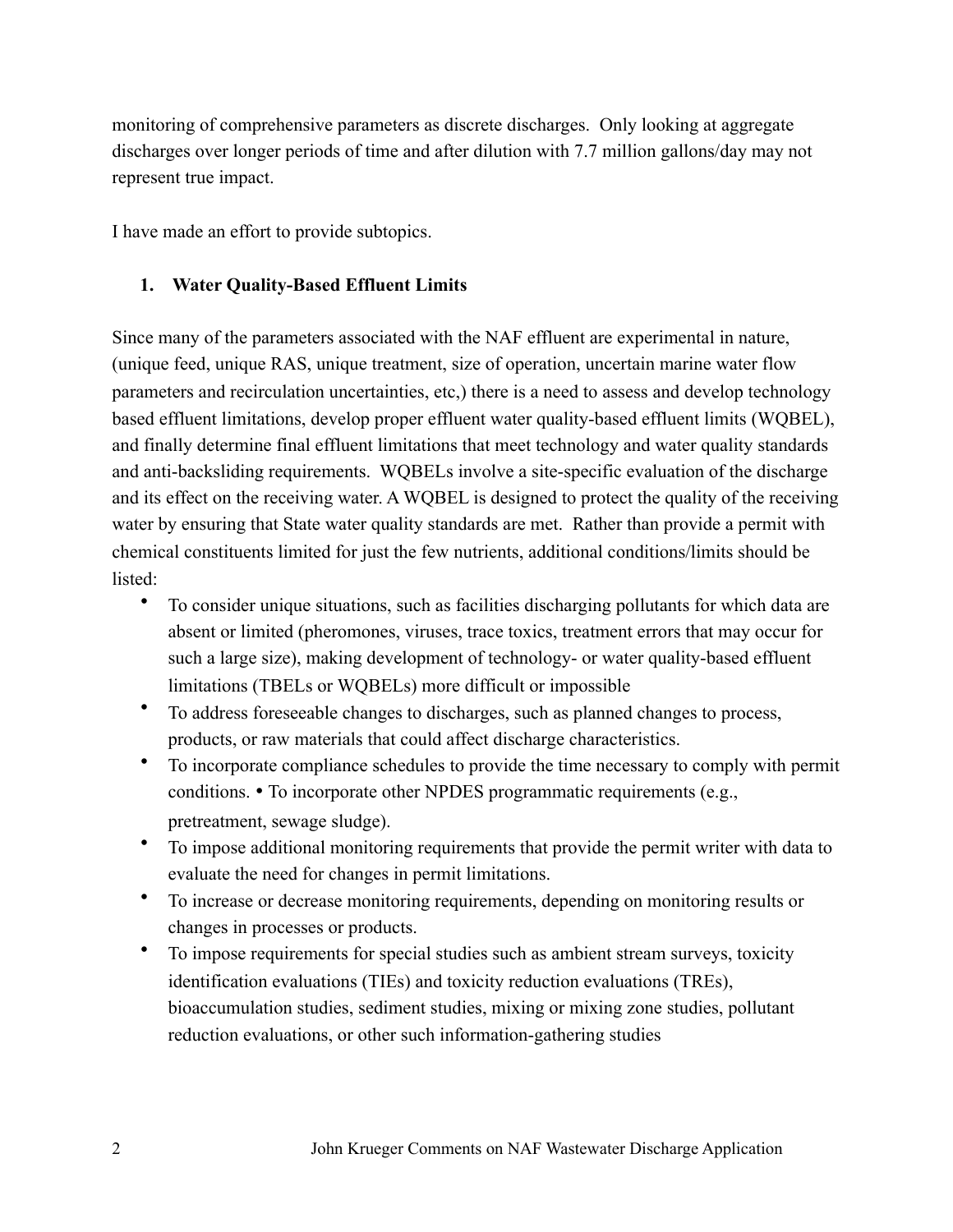monitoring of comprehensive parameters as discrete discharges. Only looking at aggregate discharges over longer periods of time and after dilution with 7.7 million gallons/day may not represent true impact.

I have made an effort to provide subtopics.

#### **1. Water Quality-Based Effluent Limits**

Since many of the parameters associated with the NAF effluent are experimental in nature, (unique feed, unique RAS, unique treatment, size of operation, uncertain marine water flow parameters and recirculation uncertainties, etc,) there is a need to assess and develop technology based effluent limitations, develop proper effluent water quality-based effluent limits (WQBEL), and finally determine final effluent limitations that meet technology and water quality standards and anti-backsliding requirements. WQBELs involve a site-specific evaluation of the discharge and its effect on the receiving water. A WQBEL is designed to protect the quality of the receiving water by ensuring that State water quality standards are met. Rather than provide a permit with chemical constituents limited for just the few nutrients, additional conditions/limits should be listed:

- To consider unique situations, such as facilities discharging pollutants for which data are absent or limited (pheromones, viruses, trace toxics, treatment errors that may occur for such a large size), making development of technology- or water quality-based effluent limitations (TBELs or WQBELs) more difficult or impossible
- To address foreseeable changes to discharges, such as planned changes to process, products, or raw materials that could affect discharge characteristics.
- To incorporate compliance schedules to provide the time necessary to comply with permit conditions. • To incorporate other NPDES programmatic requirements (e.g., pretreatment, sewage sludge).
- To impose additional monitoring requirements that provide the permit writer with data to evaluate the need for changes in permit limitations.
- To increase or decrease monitoring requirements, depending on monitoring results or changes in processes or products.
- To impose requirements for special studies such as ambient stream surveys, toxicity identification evaluations (TIEs) and toxicity reduction evaluations (TREs), bioaccumulation studies, sediment studies, mixing or mixing zone studies, pollutant reduction evaluations, or other such information-gathering studies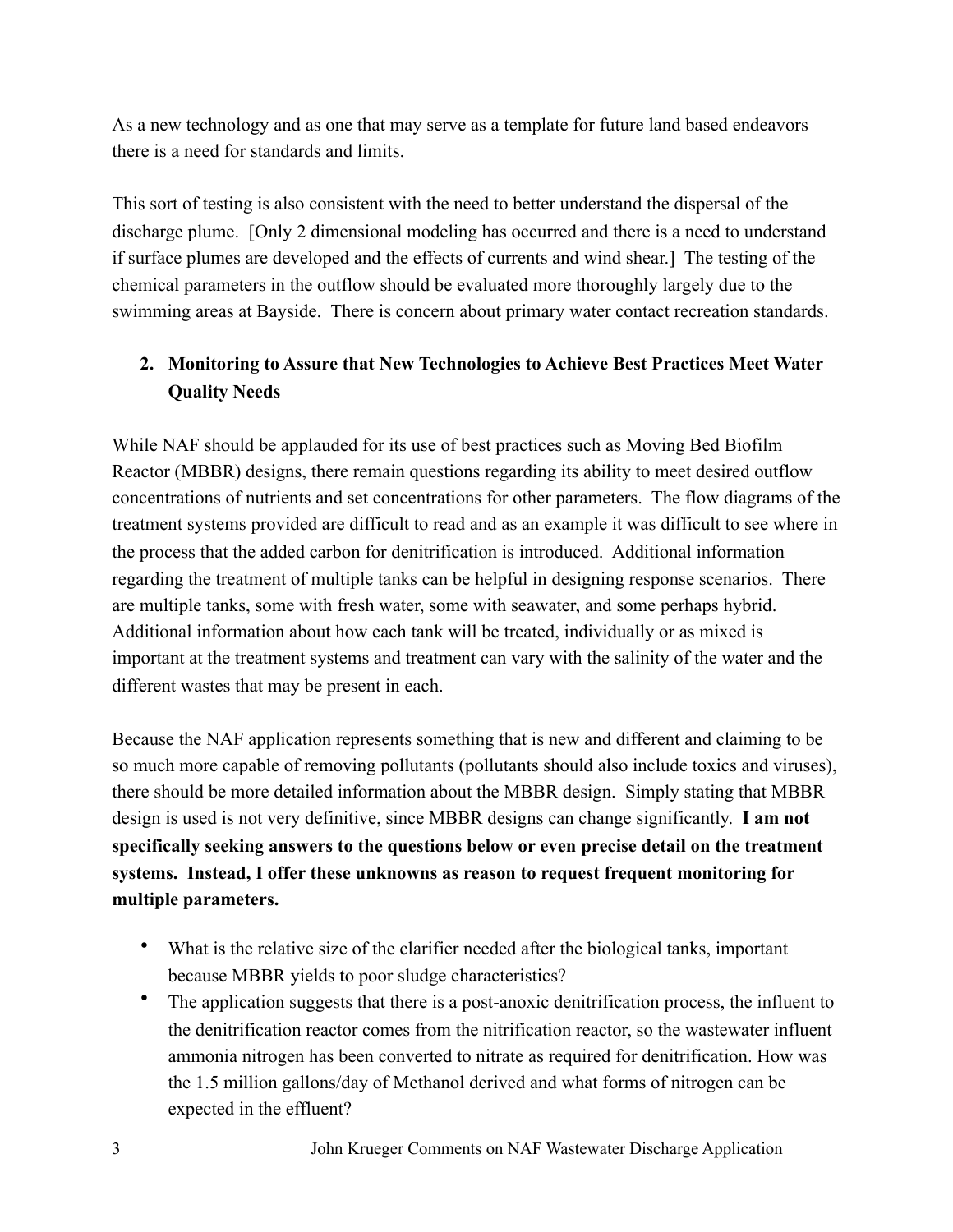As a new technology and as one that may serve as a template for future land based endeavors there is a need for standards and limits.

This sort of testing is also consistent with the need to better understand the dispersal of the discharge plume. [Only 2 dimensional modeling has occurred and there is a need to understand if surface plumes are developed and the effects of currents and wind shear.] The testing of the chemical parameters in the outflow should be evaluated more thoroughly largely due to the swimming areas at Bayside. There is concern about primary water contact recreation standards.

# **2. Monitoring to Assure that New Technologies to Achieve Best Practices Meet Water Quality Needs**

While NAF should be applauded for its use of best practices such as Moving Bed Biofilm Reactor (MBBR) designs, there remain questions regarding its ability to meet desired outflow concentrations of nutrients and set concentrations for other parameters. The flow diagrams of the treatment systems provided are difficult to read and as an example it was difficult to see where in the process that the added carbon for denitrification is introduced. Additional information regarding the treatment of multiple tanks can be helpful in designing response scenarios. There are multiple tanks, some with fresh water, some with seawater, and some perhaps hybrid. Additional information about how each tank will be treated, individually or as mixed is important at the treatment systems and treatment can vary with the salinity of the water and the different wastes that may be present in each.

Because the NAF application represents something that is new and different and claiming to be so much more capable of removing pollutants (pollutants should also include toxics and viruses), there should be more detailed information about the MBBR design. Simply stating that MBBR design is used is not very definitive, since MBBR designs can change significantly. **I am not specifically seeking answers to the questions below or even precise detail on the treatment systems. Instead, I offer these unknowns as reason to request frequent monitoring for multiple parameters.** 

- What is the relative size of the clarifier needed after the biological tanks, important because MBBR yields to poor sludge characteristics?
- The application suggests that there is a post-anoxic denitrification process, the influent to the denitrification reactor comes from the nitrification reactor, so the wastewater influent ammonia nitrogen has been converted to nitrate as required for denitrification. How was the 1.5 million gallons/day of Methanol derived and what forms of nitrogen can be expected in the effluent?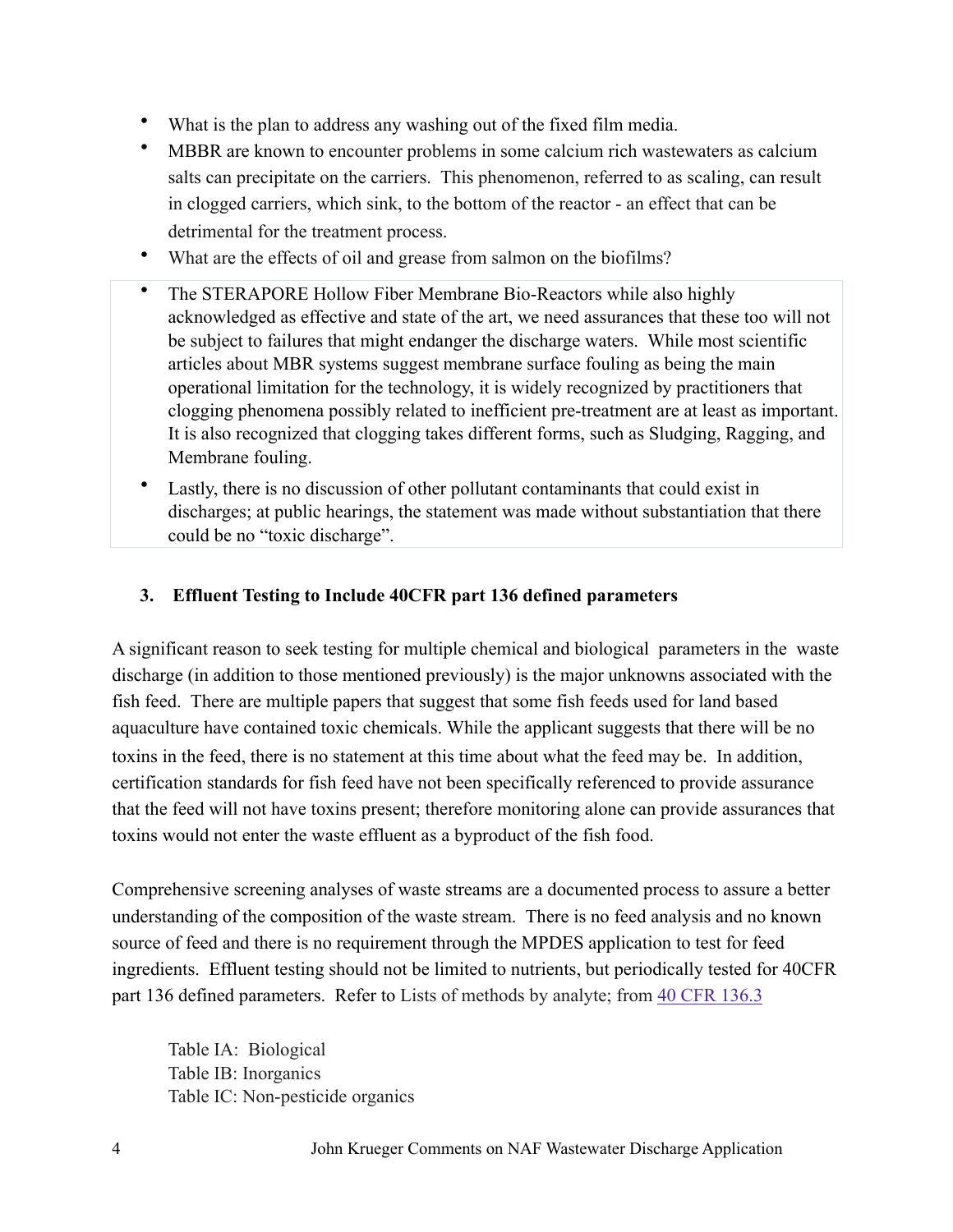- What is the plan to address any washing out of the fixed film media.
- MBBR are known to encounter problems in some calcium rich wastewaters as calcium salts can precipitate on the carriers. This phenomenon, referred to as scaling, can result in clogged carriers, which sink, to the bottom of the reactor - an effect that can be detrimental for the treatment process.
- What are the effects of oil and grease from salmon on the biofilms?
- The STERAPORE Hollow Fiber Membrane Bio-Reactors while also highly acknowledged as effective and state of the art, we need assurances that these too will not be subject to failures that might endanger the discharge waters. While most scientific articles about MBR systems suggest membrane surface fouling as being the main operational limitation for the technology, it is widely recognized by practitioners that clogging phenomena possibly related to inefficient pre-treatment are at least as important. It is also recognized that clogging takes different forms, such as Sludging, Ragging, and Membrane fouling.
- Lastly, there is no discussion of other pollutant contaminants that could exist in discharges; at public hearings, the statement was made without substantiation that there could be no "toxic discharge".

#### **3. Effluent Testing to Include 40CFR part 136 defined parameters**

A significant reason to seek testing for multiple chemical and biological parameters in the waste discharge (in addition to those mentioned previously) is the major unknowns associated with the fish feed. There are multiple papers that suggest that some fish feeds used for land based aquaculture have contained toxic chemicals. While the applicant suggests that there will be no toxins in the feed, there is no statement at this time about what the feed may be. In addition, certification standards for fish feed have not been specifically referenced to provide assurance that the feed will not have toxins present; therefore monitoring alone can provide assurances that toxins would not enter the waste effluent as a byproduct of the fish food.

Comprehensive screening analyses of waste streams are a documented process to assure a better understanding of the composition of the waste stream. There is no feed analysis and no known source of feed and there is no requirement through the MPDES application to test for feed ingredients. Effluent testing should not be limited to nutrients, but periodically tested for 40CFR part 136 defined parameters. Refer to Lists of methods by analyte; from [40 CFR 136.3](https://www.ecfr.gov/cgi-bin/text-idx?SID=a6bb8a02b6d783f9356758b5ff0ed106&mc=true&node=pt40.25.136&rgn=div5#se40.25.136_13)

Table IA: Biological Table IB: Inorganics Table IC: Non-pesticide organics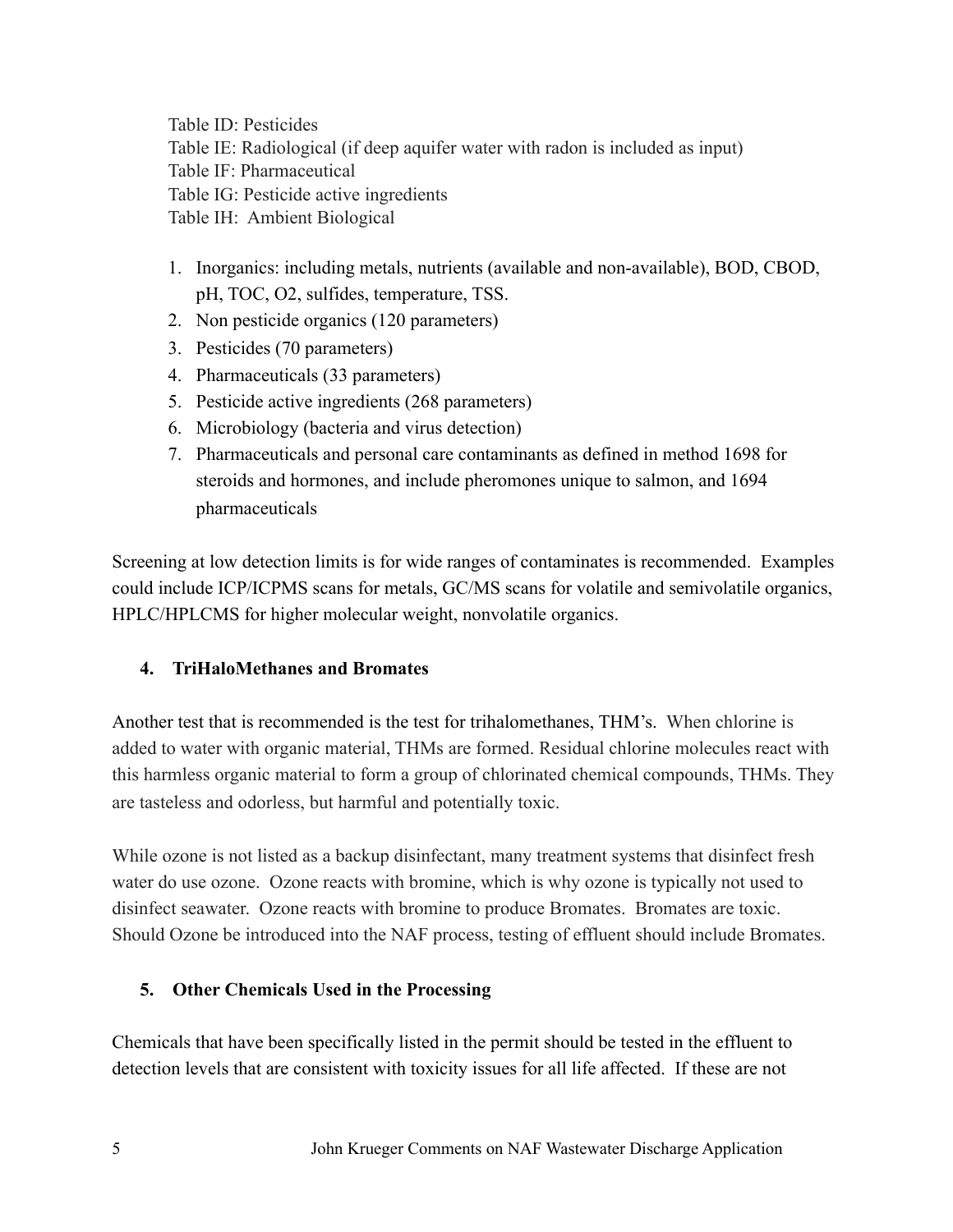Table ID: Pesticides Table IE: Radiological (if deep aquifer water with radon is included as input) Table IF: Pharmaceutical Table IG: Pesticide active ingredients Table IH: Ambient Biological

- 1. Inorganics: including metals, nutrients (available and non-available), BOD, CBOD, pH, TOC, O2, sulfides, temperature, TSS.
- 2. Non pesticide organics (120 parameters)
- 3. Pesticides (70 parameters)
- 4. Pharmaceuticals (33 parameters)
- 5. Pesticide active ingredients (268 parameters)
- 6. Microbiology (bacteria and virus detection)
- 7. Pharmaceuticals and personal care contaminants as defined in method 1698 for steroids and hormones, and include pheromones unique to salmon, and 1694 pharmaceuticals

Screening at low detection limits is for wide ranges of contaminates is recommended. Examples could include ICP/ICPMS scans for metals, GC/MS scans for volatile and semivolatile organics, HPLC/HPLCMS for higher molecular weight, nonvolatile organics.

## **4. TriHaloMethanes and Bromates**

Another test that is recommended is the test for trihalomethanes, THM's. When chlorine is added to water with organic material, THMs are formed. Residual chlorine molecules react with this harmless organic material to form a group of chlorinated chemical compounds, THMs. They are tasteless and odorless, but harmful and potentially toxic.

While ozone is not listed as a backup disinfectant, many treatment systems that disinfect fresh water do use ozone. Ozone reacts with bromine, which is why ozone is typically not used to disinfect seawater. Ozone reacts with bromine to produce Bromates. Bromates are toxic. Should Ozone be introduced into the NAF process, testing of effluent should include Bromates.

## **5. Other Chemicals Used in the Processing**

Chemicals that have been specifically listed in the permit should be tested in the effluent to detection levels that are consistent with toxicity issues for all life affected. If these are not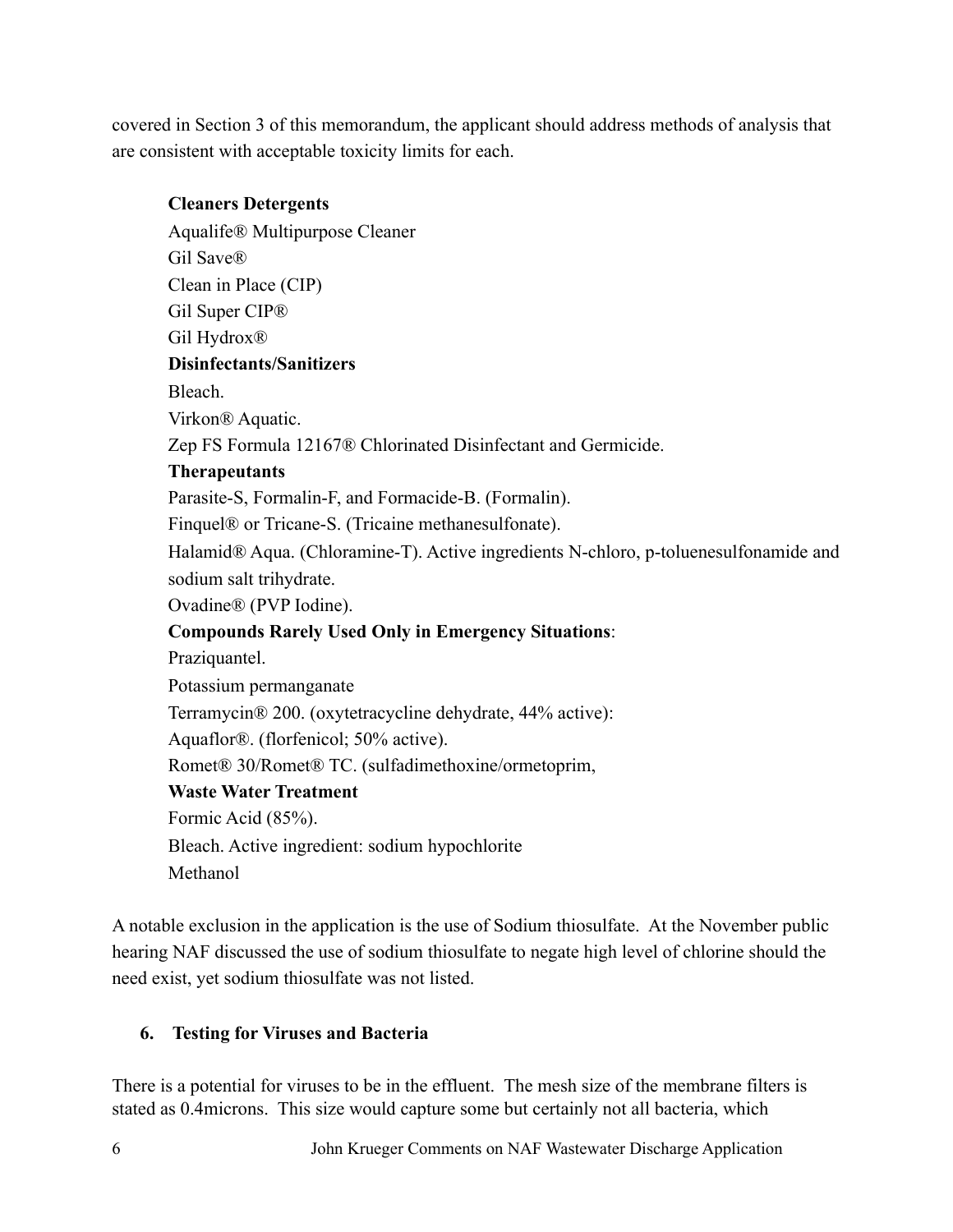covered in Section 3 of this memorandum, the applicant should address methods of analysis that are consistent with acceptable toxicity limits for each.

#### **Cleaners Detergents**

Aqualife® Multipurpose Cleaner Gil Save® Clean in Place (CIP) Gil Super CIP® Gil Hydrox® **Disinfectants/Sanitizers**  Bleach. Virkon® Aquatic. Zep FS Formula 12167® Chlorinated Disinfectant and Germicide. **Therapeutants**  Parasite-S, Formalin-F, and Formacide-B. (Formalin). Finquel® or Tricane-S. (Tricaine methanesulfonate). Halamid® Aqua. (Chloramine-T). Active ingredients N-chloro, p-toluenesulfonamide and sodium salt trihydrate. Ovadine® (PVP Iodine). **Compounds Rarely Used Only in Emergency Situations**: Praziquantel. Potassium permanganate Terramycin® 200. (oxytetracycline dehydrate, 44% active): Aquaflor®. (florfenicol; 50% active). Romet® 30/Romet® TC. (sulfadimethoxine/ormetoprim, **Waste Water Treatment**  Formic Acid (85%). Bleach. Active ingredient: sodium hypochlorite Methanol

A notable exclusion in the application is the use of Sodium thiosulfate. At the November public hearing NAF discussed the use of sodium thiosulfate to negate high level of chlorine should the need exist, yet sodium thiosulfate was not listed.

### **6. Testing for Viruses and Bacteria**

There is a potential for viruses to be in the effluent. The mesh size of the membrane filters is stated as 0.4microns. This size would capture some but certainly not all bacteria, which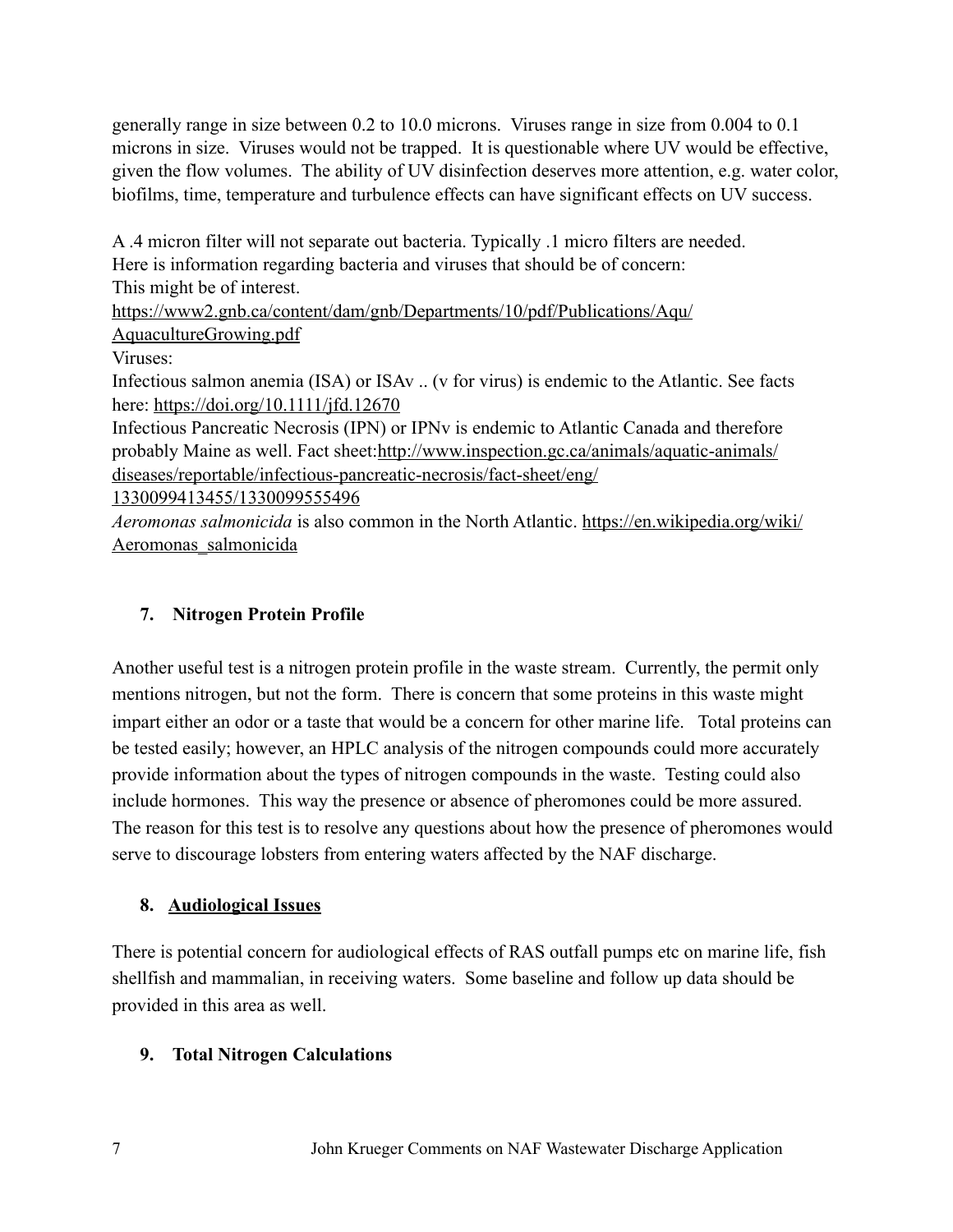generally range in size between 0.2 to 10.0 microns. Viruses range in size from 0.004 to 0.1 microns in size. Viruses would not be trapped. It is questionable where UV would be effective, given the flow volumes. The ability of UV disinfection deserves more attention, e.g. water color, biofilms, time, temperature and turbulence effects can have significant effects on UV success.

A .4 micron filter will not separate out bacteria. Typically .1 micro filters are needed. Here is information regarding bacteria and viruses that should be of concern: This might be of interest.

[https://www2.gnb.ca/content/dam/gnb/Departments/10/pdf/Publications/Aqu/](https://www2.gnb.ca/content/dam/gnb/Departments/10/pdf/Publications/Aqu/AquacultureGrowing.pdf) [AquacultureGrowing.pdf](https://www2.gnb.ca/content/dam/gnb/Departments/10/pdf/Publications/Aqu/AquacultureGrowing.pdf)

Viruses:

Infectious salmon anemia (ISA) or ISAv .. (v for virus) is endemic to the Atlantic. See facts here: <https://doi.org/10.1111/jfd.12670>

Infectious Pancreatic Necrosis (IPN) or IPNv is endemic to Atlantic Canada and therefore probably Maine as well. Fact sheet: [http://www.inspection.gc.ca/animals/aquatic-animals/](http://www.inspection.gc.ca/animals/aquatic-animals/diseases/reportable/infectious-pancreatic-necrosis/fact-sheet/eng/1330099413455/1330099555496) [diseases/reportable/infectious-pancreatic-necrosis/fact-sheet/eng/](http://www.inspection.gc.ca/animals/aquatic-animals/diseases/reportable/infectious-pancreatic-necrosis/fact-sheet/eng/1330099413455/1330099555496)

[1330099413455/1330099555496](http://www.inspection.gc.ca/animals/aquatic-animals/diseases/reportable/infectious-pancreatic-necrosis/fact-sheet/eng/1330099413455/1330099555496)

*Aeromonas salmonicida* is also common in the North Atlantic. [https://en.wikipedia.org/wiki/](https://en.wikipedia.org/wiki/Aeromonas_salmonicida) [Aeromonas\\_salmonicida](https://en.wikipedia.org/wiki/Aeromonas_salmonicida)

### **7. Nitrogen Protein Profile**

Another useful test is a nitrogen protein profile in the waste stream. Currently, the permit only mentions nitrogen, but not the form. There is concern that some proteins in this waste might impart either an odor or a taste that would be a concern for other marine life. Total proteins can be tested easily; however, an HPLC analysis of the nitrogen compounds could more accurately provide information about the types of nitrogen compounds in the waste. Testing could also include hormones. This way the presence or absence of pheromones could be more assured. The reason for this test is to resolve any questions about how the presence of pheromones would serve to discourage lobsters from entering waters affected by the NAF discharge.

## **8. Audiological Issues**

There is potential concern for audiological effects of RAS outfall pumps etc on marine life, fish shellfish and mammalian, in receiving waters. Some baseline and follow up data should be provided in this area as well.

## **9. Total Nitrogen Calculations**